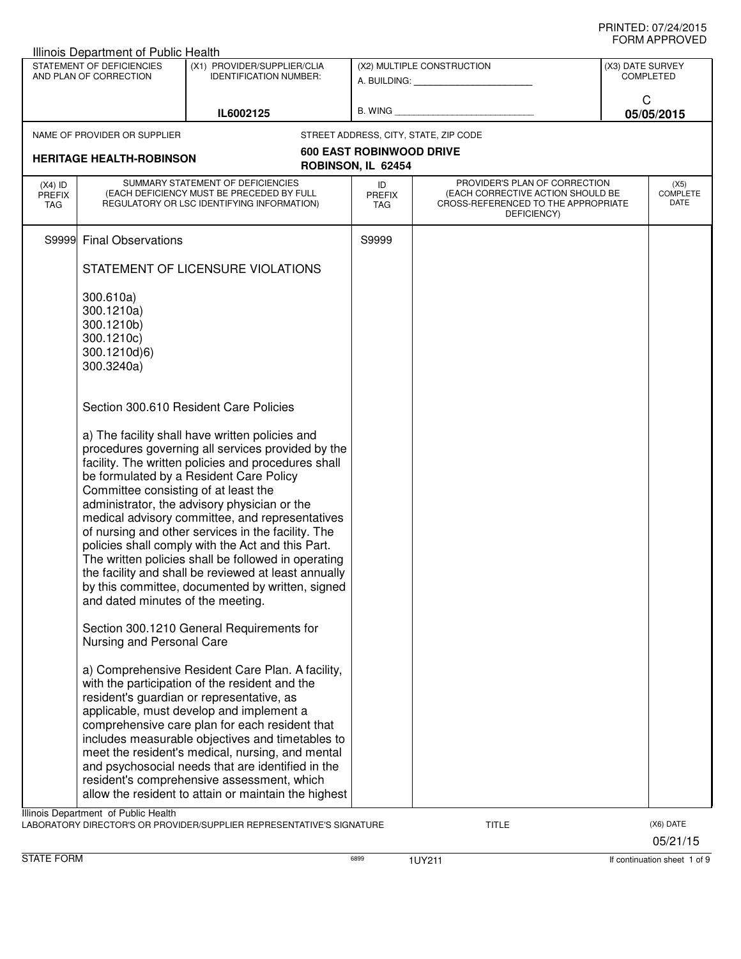|                             | Illinois Department of Public Health                |                                                                                                         |                                 |                                                                    |                                                                       |           |
|-----------------------------|-----------------------------------------------------|---------------------------------------------------------------------------------------------------------|---------------------------------|--------------------------------------------------------------------|-----------------------------------------------------------------------|-----------|
|                             | STATEMENT OF DEFICIENCIES<br>AND PLAN OF CORRECTION | (X1) PROVIDER/SUPPLIER/CLIA<br><b>IDENTIFICATION NUMBER:</b>                                            |                                 | (X2) MULTIPLE CONSTRUCTION<br>A. BUILDING: A. BUILDING:            |                                                                       |           |
|                             |                                                     |                                                                                                         |                                 |                                                                    | C                                                                     |           |
|                             |                                                     | IL6002125                                                                                               |                                 |                                                                    |                                                                       |           |
|                             | NAME OF PROVIDER OR SUPPLIER                        |                                                                                                         |                                 | STREET ADDRESS, CITY, STATE, ZIP CODE                              | (X3) DATE SURVEY<br><b>COMPLETED</b><br>05/05/2015<br><b>COMPLETE</b> |           |
|                             |                                                     |                                                                                                         | <b>600 EAST ROBINWOOD DRIVE</b> |                                                                    |                                                                       |           |
|                             | <b>HERITAGE HEALTH-ROBINSON</b>                     |                                                                                                         | ROBINSON, IL 62454              |                                                                    |                                                                       |           |
| $(X4)$ ID                   |                                                     | SUMMARY STATEMENT OF DEFICIENCIES<br>(EACH DEFICIENCY MUST BE PRECEDED BY FULL                          | ID                              | PROVIDER'S PLAN OF CORRECTION<br>(EACH CORRECTIVE ACTION SHOULD BE |                                                                       | (X5)      |
| <b>PREFIX</b><br><b>TAG</b> |                                                     | REGULATORY OR LSC IDENTIFYING INFORMATION)                                                              | <b>PREFIX</b><br>TAG            | CROSS-REFERENCED TO THE APPROPRIATE<br>DEFICIENCY)                 |                                                                       | DATE      |
|                             | S9999 Final Observations                            |                                                                                                         | S9999                           |                                                                    |                                                                       |           |
|                             |                                                     | STATEMENT OF LICENSURE VIOLATIONS                                                                       |                                 |                                                                    |                                                                       |           |
|                             | 300.610a)                                           |                                                                                                         |                                 |                                                                    |                                                                       |           |
|                             | 300.1210a)                                          |                                                                                                         |                                 |                                                                    |                                                                       |           |
|                             | 300.1210b)                                          |                                                                                                         |                                 |                                                                    |                                                                       |           |
|                             | 300.1210c)                                          |                                                                                                         |                                 |                                                                    |                                                                       |           |
|                             | 300.1210d)6)<br>300.3240a)                          |                                                                                                         |                                 |                                                                    |                                                                       |           |
|                             |                                                     |                                                                                                         |                                 |                                                                    |                                                                       |           |
|                             |                                                     | Section 300.610 Resident Care Policies                                                                  |                                 |                                                                    |                                                                       |           |
|                             |                                                     | a) The facility shall have written policies and                                                         |                                 |                                                                    |                                                                       |           |
|                             |                                                     | procedures governing all services provided by the                                                       |                                 |                                                                    |                                                                       |           |
|                             |                                                     | facility. The written policies and procedures shall                                                     |                                 |                                                                    |                                                                       |           |
|                             | Committee consisting of at least the                | be formulated by a Resident Care Policy                                                                 |                                 |                                                                    |                                                                       |           |
|                             |                                                     | administrator, the advisory physician or the                                                            |                                 |                                                                    |                                                                       |           |
|                             |                                                     | medical advisory committee, and representatives                                                         |                                 |                                                                    |                                                                       |           |
|                             |                                                     | of nursing and other services in the facility. The<br>policies shall comply with the Act and this Part. |                                 |                                                                    |                                                                       |           |
|                             |                                                     | The written policies shall be followed in operating                                                     |                                 |                                                                    |                                                                       |           |
|                             |                                                     | the facility and shall be reviewed at least annually                                                    |                                 |                                                                    |                                                                       |           |
|                             | and dated minutes of the meeting.                   | by this committee, documented by written, signed                                                        |                                 |                                                                    |                                                                       |           |
|                             | Nursing and Personal Care                           | Section 300.1210 General Requirements for                                                               |                                 |                                                                    |                                                                       |           |
|                             |                                                     |                                                                                                         |                                 |                                                                    |                                                                       |           |
|                             |                                                     | a) Comprehensive Resident Care Plan. A facility,                                                        |                                 |                                                                    |                                                                       |           |
|                             |                                                     | with the participation of the resident and the<br>resident's guardian or representative, as             |                                 |                                                                    |                                                                       |           |
|                             |                                                     | applicable, must develop and implement a                                                                |                                 |                                                                    |                                                                       |           |
|                             |                                                     | comprehensive care plan for each resident that                                                          |                                 |                                                                    |                                                                       |           |
|                             |                                                     | includes measurable objectives and timetables to<br>meet the resident's medical, nursing, and mental    |                                 |                                                                    |                                                                       |           |
|                             |                                                     | and psychosocial needs that are identified in the                                                       |                                 |                                                                    |                                                                       |           |
|                             |                                                     | resident's comprehensive assessment, which                                                              |                                 |                                                                    |                                                                       |           |
|                             |                                                     | allow the resident to attain or maintain the highest                                                    |                                 |                                                                    |                                                                       |           |
|                             | Illinois Department of Public Health                | LABORATORY DIRECTOR'S OR PROVIDER/SUPPLIER REPRESENTATIVE'S SIGNATURE                                   |                                 | <b>TITLE</b>                                                       |                                                                       | (X6) DATE |
|                             |                                                     |                                                                                                         |                                 |                                                                    |                                                                       | 05/21/15  |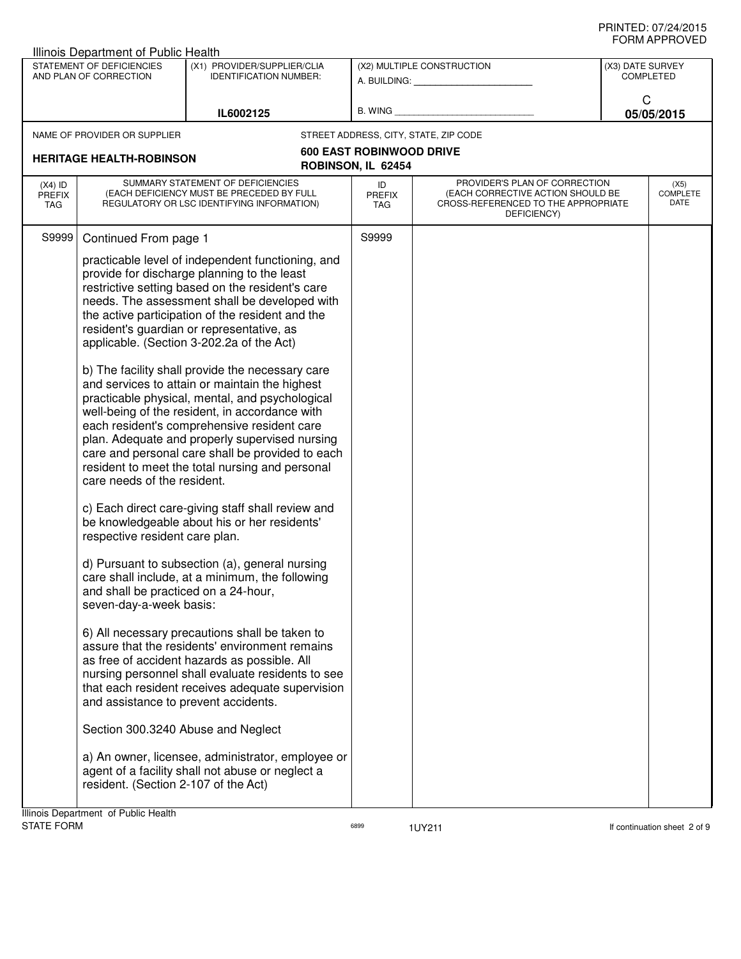|                                   | Illinois Department of Public Health                                                                                                                                                                                                                   |                                                                                                                                                                                                                                                                                                                                                                                                                                                                                                                                                                                                                                                                                                                                                                                                                                                                                                                                                                                                                                                                                                                                                                                                                                                                                                                                                        |                     |                                                                                                                          |                                      |                                 |
|-----------------------------------|--------------------------------------------------------------------------------------------------------------------------------------------------------------------------------------------------------------------------------------------------------|--------------------------------------------------------------------------------------------------------------------------------------------------------------------------------------------------------------------------------------------------------------------------------------------------------------------------------------------------------------------------------------------------------------------------------------------------------------------------------------------------------------------------------------------------------------------------------------------------------------------------------------------------------------------------------------------------------------------------------------------------------------------------------------------------------------------------------------------------------------------------------------------------------------------------------------------------------------------------------------------------------------------------------------------------------------------------------------------------------------------------------------------------------------------------------------------------------------------------------------------------------------------------------------------------------------------------------------------------------|---------------------|--------------------------------------------------------------------------------------------------------------------------|--------------------------------------|---------------------------------|
|                                   | STATEMENT OF DEFICIENCIES<br>AND PLAN OF CORRECTION                                                                                                                                                                                                    | (X1) PROVIDER/SUPPLIER/CLIA<br><b>IDENTIFICATION NUMBER:</b>                                                                                                                                                                                                                                                                                                                                                                                                                                                                                                                                                                                                                                                                                                                                                                                                                                                                                                                                                                                                                                                                                                                                                                                                                                                                                           |                     | (X2) MULTIPLE CONSTRUCTION<br>A. BUILDING: A. BUILDING:                                                                  | (X3) DATE SURVEY<br><b>COMPLETED</b> |                                 |
|                                   |                                                                                                                                                                                                                                                        | IL6002125                                                                                                                                                                                                                                                                                                                                                                                                                                                                                                                                                                                                                                                                                                                                                                                                                                                                                                                                                                                                                                                                                                                                                                                                                                                                                                                                              | B. WING             |                                                                                                                          | C                                    | 05/05/2015                      |
|                                   | NAME OF PROVIDER OR SUPPLIER                                                                                                                                                                                                                           |                                                                                                                                                                                                                                                                                                                                                                                                                                                                                                                                                                                                                                                                                                                                                                                                                                                                                                                                                                                                                                                                                                                                                                                                                                                                                                                                                        |                     | STREET ADDRESS, CITY, STATE, ZIP CODE                                                                                    |                                      |                                 |
| <b>HERITAGE HEALTH-ROBINSON</b>   |                                                                                                                                                                                                                                                        | <b>600 EAST ROBINWOOD DRIVE</b><br>ROBINSON, IL 62454                                                                                                                                                                                                                                                                                                                                                                                                                                                                                                                                                                                                                                                                                                                                                                                                                                                                                                                                                                                                                                                                                                                                                                                                                                                                                                  |                     |                                                                                                                          |                                      |                                 |
| $(X4)$ ID<br><b>PREFIX</b><br>TAG |                                                                                                                                                                                                                                                        | SUMMARY STATEMENT OF DEFICIENCIES<br>(EACH DEFICIENCY MUST BE PRECEDED BY FULL<br>REGULATORY OR LSC IDENTIFYING INFORMATION)                                                                                                                                                                                                                                                                                                                                                                                                                                                                                                                                                                                                                                                                                                                                                                                                                                                                                                                                                                                                                                                                                                                                                                                                                           | ID<br>PREFIX<br>TAG | PROVIDER'S PLAN OF CORRECTION<br>(EACH CORRECTIVE ACTION SHOULD BE<br>CROSS-REFERENCED TO THE APPROPRIATE<br>DEFICIENCY) |                                      | (X5)<br><b>COMPLETE</b><br>DATE |
| S9999                             | Continued From page 1                                                                                                                                                                                                                                  |                                                                                                                                                                                                                                                                                                                                                                                                                                                                                                                                                                                                                                                                                                                                                                                                                                                                                                                                                                                                                                                                                                                                                                                                                                                                                                                                                        | S9999               |                                                                                                                          |                                      |                                 |
|                                   | care needs of the resident.<br>respective resident care plan.<br>and shall be practiced on a 24-hour,<br>seven-day-a-week basis:<br>and assistance to prevent accidents.<br>Section 300.3240 Abuse and Neglect<br>resident. (Section 2-107 of the Act) | practicable level of independent functioning, and<br>provide for discharge planning to the least<br>restrictive setting based on the resident's care<br>needs. The assessment shall be developed with<br>the active participation of the resident and the<br>resident's guardian or representative, as<br>applicable. (Section 3-202.2a of the Act)<br>b) The facility shall provide the necessary care<br>and services to attain or maintain the highest<br>practicable physical, mental, and psychological<br>well-being of the resident, in accordance with<br>each resident's comprehensive resident care<br>plan. Adequate and properly supervised nursing<br>care and personal care shall be provided to each<br>resident to meet the total nursing and personal<br>c) Each direct care-giving staff shall review and<br>be knowledgeable about his or her residents'<br>d) Pursuant to subsection (a), general nursing<br>care shall include, at a minimum, the following<br>6) All necessary precautions shall be taken to<br>assure that the residents' environment remains<br>as free of accident hazards as possible. All<br>nursing personnel shall evaluate residents to see<br>that each resident receives adequate supervision<br>a) An owner, licensee, administrator, employee or<br>agent of a facility shall not abuse or neglect a |                     |                                                                                                                          |                                      |                                 |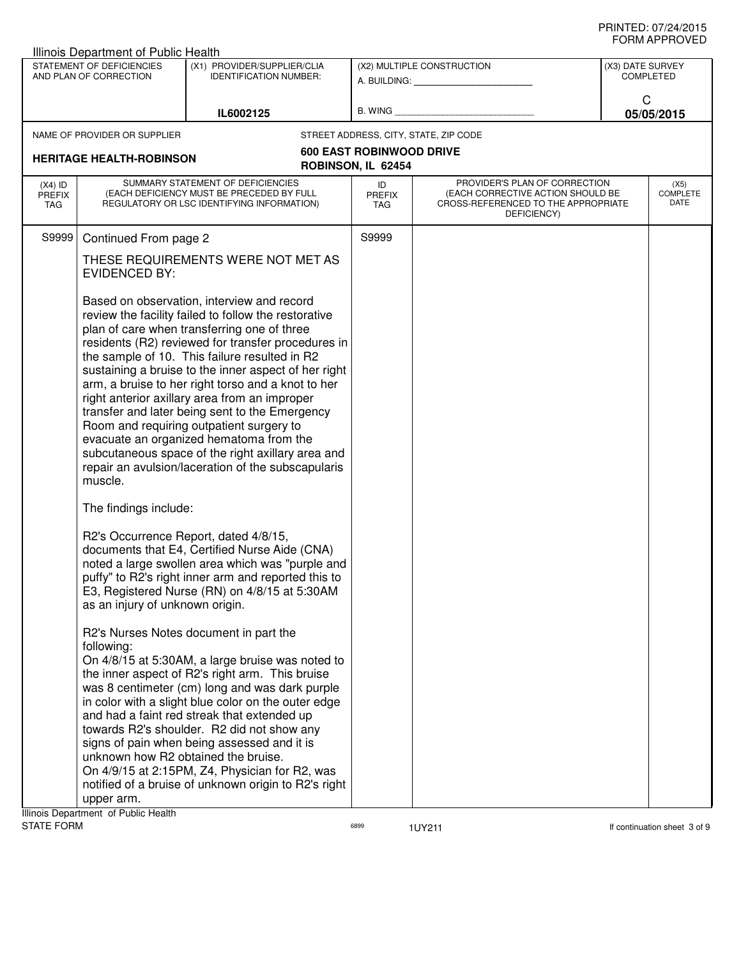|                                                       | <b>Illinois Department of Public Health</b>                     |                                                                                                                                                                                                                                                                                                                                                                                                                                                                                                                                                                                                                                                                             |                             |                                                                                         |                                      |  |
|-------------------------------------------------------|-----------------------------------------------------------------|-----------------------------------------------------------------------------------------------------------------------------------------------------------------------------------------------------------------------------------------------------------------------------------------------------------------------------------------------------------------------------------------------------------------------------------------------------------------------------------------------------------------------------------------------------------------------------------------------------------------------------------------------------------------------------|-----------------------------|-----------------------------------------------------------------------------------------|--------------------------------------|--|
|                                                       | STATEMENT OF DEFICIENCIES<br>AND PLAN OF CORRECTION             | (X1) PROVIDER/SUPPLIER/CLIA<br><b>IDENTIFICATION NUMBER:</b>                                                                                                                                                                                                                                                                                                                                                                                                                                                                                                                                                                                                                |                             | (X2) MULTIPLE CONSTRUCTION<br>A. BUILDING: A. BUILDING:                                 | (X3) DATE SURVEY<br><b>COMPLETED</b> |  |
|                                                       |                                                                 | IL6002125                                                                                                                                                                                                                                                                                                                                                                                                                                                                                                                                                                                                                                                                   | B. WING                     |                                                                                         | C<br>05/05/2015                      |  |
|                                                       | NAME OF PROVIDER OR SUPPLIER                                    |                                                                                                                                                                                                                                                                                                                                                                                                                                                                                                                                                                                                                                                                             |                             | STREET ADDRESS, CITY, STATE, ZIP CODE                                                   |                                      |  |
| <b>HERITAGE HEALTH-ROBINSON</b><br>ROBINSON, IL 62454 |                                                                 | <b>600 EAST ROBINWOOD DRIVE</b>                                                                                                                                                                                                                                                                                                                                                                                                                                                                                                                                                                                                                                             |                             |                                                                                         |                                      |  |
| $(X4)$ ID                                             |                                                                 | SUMMARY STATEMENT OF DEFICIENCIES                                                                                                                                                                                                                                                                                                                                                                                                                                                                                                                                                                                                                                           | ID                          | PROVIDER'S PLAN OF CORRECTION                                                           | (X5)                                 |  |
| <b>PREFIX</b><br>TAG                                  |                                                                 | (EACH DEFICIENCY MUST BE PRECEDED BY FULL<br>REGULATORY OR LSC IDENTIFYING INFORMATION)                                                                                                                                                                                                                                                                                                                                                                                                                                                                                                                                                                                     | <b>PREFIX</b><br><b>TAG</b> | (EACH CORRECTIVE ACTION SHOULD BE<br>CROSS-REFERENCED TO THE APPROPRIATE<br>DEFICIENCY) | <b>COMPLETE</b><br>DATE              |  |
| S9999                                                 | Continued From page 2                                           |                                                                                                                                                                                                                                                                                                                                                                                                                                                                                                                                                                                                                                                                             | S9999                       |                                                                                         |                                      |  |
|                                                       | THESE REQUIREMENTS WERE NOT MET AS<br><b>EVIDENCED BY:</b>      |                                                                                                                                                                                                                                                                                                                                                                                                                                                                                                                                                                                                                                                                             |                             |                                                                                         |                                      |  |
|                                                       | muscle.                                                         | Based on observation, interview and record<br>review the facility failed to follow the restorative<br>plan of care when transferring one of three<br>residents (R2) reviewed for transfer procedures in<br>the sample of 10. This failure resulted in R2<br>sustaining a bruise to the inner aspect of her right<br>arm, a bruise to her right torso and a knot to her<br>right anterior axillary area from an improper<br>transfer and later being sent to the Emergency<br>Room and requiring outpatient surgery to<br>evacuate an organized hematoma from the<br>subcutaneous space of the right axillary area and<br>repair an avulsion/laceration of the subscapularis |                             |                                                                                         |                                      |  |
|                                                       | The findings include:<br>as an injury of unknown origin.        | R2's Occurrence Report, dated 4/8/15,<br>documents that E4, Certified Nurse Aide (CNA)<br>noted a large swollen area which was "purple and<br>puffy" to R2's right inner arm and reported this to<br>E3, Registered Nurse (RN) on 4/8/15 at 5:30AM                                                                                                                                                                                                                                                                                                                                                                                                                          |                             |                                                                                         |                                      |  |
|                                                       | following:<br>unknown how R2 obtained the bruise.<br>upper arm. | R2's Nurses Notes document in part the<br>On 4/8/15 at 5:30AM, a large bruise was noted to<br>the inner aspect of R2's right arm. This bruise<br>was 8 centimeter (cm) long and was dark purple<br>in color with a slight blue color on the outer edge<br>and had a faint red streak that extended up<br>towards R2's shoulder. R2 did not show any<br>signs of pain when being assessed and it is<br>On 4/9/15 at 2:15PM, Z4, Physician for R2, was<br>notified of a bruise of unknown origin to R2's right                                                                                                                                                                |                             |                                                                                         |                                      |  |

**Illinois Department of Public Health<br>STATE FORM**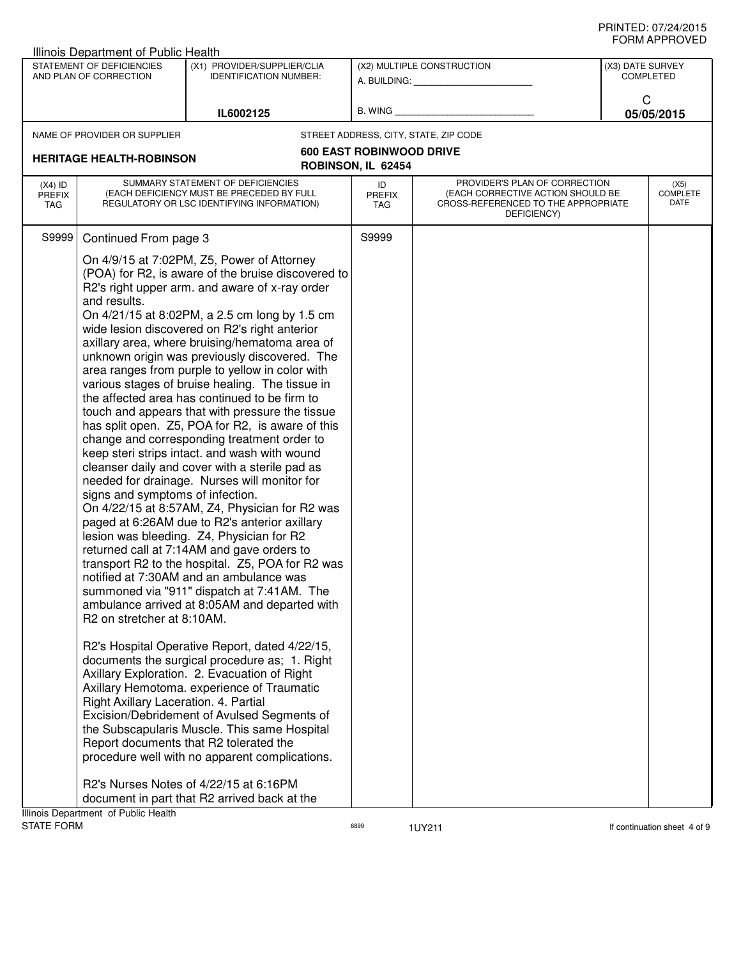|                                                       | <b>Illinois Department of Public Health</b>                                                                                         |                                                                                                                                                                                                                                                                                                                                                                                                                                                                                                                                                                                                                                                                                                                                                                                                                                                                                                                                                                                                                                                                                                                                                                                                                                                                                                                                                                                                                                                                                                                                                                                                                                                                                                           |                            |                                                                                                                          |                  |                                 |
|-------------------------------------------------------|-------------------------------------------------------------------------------------------------------------------------------------|-----------------------------------------------------------------------------------------------------------------------------------------------------------------------------------------------------------------------------------------------------------------------------------------------------------------------------------------------------------------------------------------------------------------------------------------------------------------------------------------------------------------------------------------------------------------------------------------------------------------------------------------------------------------------------------------------------------------------------------------------------------------------------------------------------------------------------------------------------------------------------------------------------------------------------------------------------------------------------------------------------------------------------------------------------------------------------------------------------------------------------------------------------------------------------------------------------------------------------------------------------------------------------------------------------------------------------------------------------------------------------------------------------------------------------------------------------------------------------------------------------------------------------------------------------------------------------------------------------------------------------------------------------------------------------------------------------------|----------------------------|--------------------------------------------------------------------------------------------------------------------------|------------------|---------------------------------|
|                                                       | STATEMENT OF DEFICIENCIES<br>AND PLAN OF CORRECTION                                                                                 | (X1) PROVIDER/SUPPLIER/CLIA<br><b>IDENTIFICATION NUMBER:</b>                                                                                                                                                                                                                                                                                                                                                                                                                                                                                                                                                                                                                                                                                                                                                                                                                                                                                                                                                                                                                                                                                                                                                                                                                                                                                                                                                                                                                                                                                                                                                                                                                                              |                            | (X2) MULTIPLE CONSTRUCTION<br>A. BUILDING: A.                                                                            | (X3) DATE SURVEY | <b>COMPLETED</b>                |
|                                                       |                                                                                                                                     | IL6002125                                                                                                                                                                                                                                                                                                                                                                                                                                                                                                                                                                                                                                                                                                                                                                                                                                                                                                                                                                                                                                                                                                                                                                                                                                                                                                                                                                                                                                                                                                                                                                                                                                                                                                 | B. WING                    |                                                                                                                          | C                | 05/05/2015                      |
|                                                       | NAME OF PROVIDER OR SUPPLIER                                                                                                        |                                                                                                                                                                                                                                                                                                                                                                                                                                                                                                                                                                                                                                                                                                                                                                                                                                                                                                                                                                                                                                                                                                                                                                                                                                                                                                                                                                                                                                                                                                                                                                                                                                                                                                           |                            | STREET ADDRESS, CITY, STATE, ZIP CODE                                                                                    |                  |                                 |
| <b>HERITAGE HEALTH-ROBINSON</b><br>ROBINSON, IL 62454 |                                                                                                                                     | <b>600 EAST ROBINWOOD DRIVE</b>                                                                                                                                                                                                                                                                                                                                                                                                                                                                                                                                                                                                                                                                                                                                                                                                                                                                                                                                                                                                                                                                                                                                                                                                                                                                                                                                                                                                                                                                                                                                                                                                                                                                           |                            |                                                                                                                          |                  |                                 |
|                                                       |                                                                                                                                     |                                                                                                                                                                                                                                                                                                                                                                                                                                                                                                                                                                                                                                                                                                                                                                                                                                                                                                                                                                                                                                                                                                                                                                                                                                                                                                                                                                                                                                                                                                                                                                                                                                                                                                           |                            |                                                                                                                          |                  |                                 |
| $(X4)$ ID<br><b>PREFIX</b><br>TAG                     | SUMMARY STATEMENT OF DEFICIENCIES<br>(EACH DEFICIENCY MUST BE PRECEDED BY FULL<br>REGULATORY OR LSC IDENTIFYING INFORMATION)        |                                                                                                                                                                                                                                                                                                                                                                                                                                                                                                                                                                                                                                                                                                                                                                                                                                                                                                                                                                                                                                                                                                                                                                                                                                                                                                                                                                                                                                                                                                                                                                                                                                                                                                           | ID<br><b>PREFIX</b><br>TAG | PROVIDER'S PLAN OF CORRECTION<br>(EACH CORRECTIVE ACTION SHOULD BE<br>CROSS-REFERENCED TO THE APPROPRIATE<br>DEFICIENCY) |                  | (X5)<br><b>COMPLETE</b><br>DATE |
| S9999                                                 | Continued From page 3                                                                                                               |                                                                                                                                                                                                                                                                                                                                                                                                                                                                                                                                                                                                                                                                                                                                                                                                                                                                                                                                                                                                                                                                                                                                                                                                                                                                                                                                                                                                                                                                                                                                                                                                                                                                                                           | S9999                      |                                                                                                                          |                  |                                 |
|                                                       | and results.<br>signs and symptoms of infection.<br>R <sub>2</sub> on stretcher at 8:10AM.<br>Right Axillary Laceration. 4. Partial | On 4/9/15 at 7:02PM, Z5, Power of Attorney<br>(POA) for R2, is aware of the bruise discovered to<br>R2's right upper arm. and aware of x-ray order<br>On 4/21/15 at 8:02PM, a 2.5 cm long by 1.5 cm<br>wide lesion discovered on R2's right anterior<br>axillary area, where bruising/hematoma area of<br>unknown origin was previously discovered. The<br>area ranges from purple to yellow in color with<br>various stages of bruise healing. The tissue in<br>the affected area has continued to be firm to<br>touch and appears that with pressure the tissue<br>has split open. Z5, POA for R2, is aware of this<br>change and corresponding treatment order to<br>keep steri strips intact. and wash with wound<br>cleanser daily and cover with a sterile pad as<br>needed for drainage. Nurses will monitor for<br>On 4/22/15 at 8:57AM, Z4, Physician for R2 was<br>paged at 6:26AM due to R2's anterior axillary<br>lesion was bleeding. Z4, Physician for R2<br>returned call at 7:14AM and gave orders to<br>transport R2 to the hospital. Z5, POA for R2 was<br>notified at 7:30AM and an ambulance was<br>summoned via "911" dispatch at 7:41AM. The<br>ambulance arrived at 8:05AM and departed with<br>R2's Hospital Operative Report, dated 4/22/15,<br>documents the surgical procedure as; 1. Right<br>Axillary Exploration. 2. Evacuation of Right<br>Axillary Hemotoma. experience of Traumatic<br>Excision/Debridement of Avulsed Segments of<br>the Subscapularis Muscle. This same Hospital<br>Report documents that R2 tolerated the<br>procedure well with no apparent complications.<br>R2's Nurses Notes of 4/22/15 at 6:16PM<br>document in part that R2 arrived back at the |                            |                                                                                                                          |                  |                                 |
|                                                       | Illinois Department of Public Health                                                                                                |                                                                                                                                                                                                                                                                                                                                                                                                                                                                                                                                                                                                                                                                                                                                                                                                                                                                                                                                                                                                                                                                                                                                                                                                                                                                                                                                                                                                                                                                                                                                                                                                                                                                                                           |                            |                                                                                                                          |                  |                                 |

STATE FORM **EXAMPLE 19** TO RESERVE THE STATE FORM **If continuation sheet 4 of 9**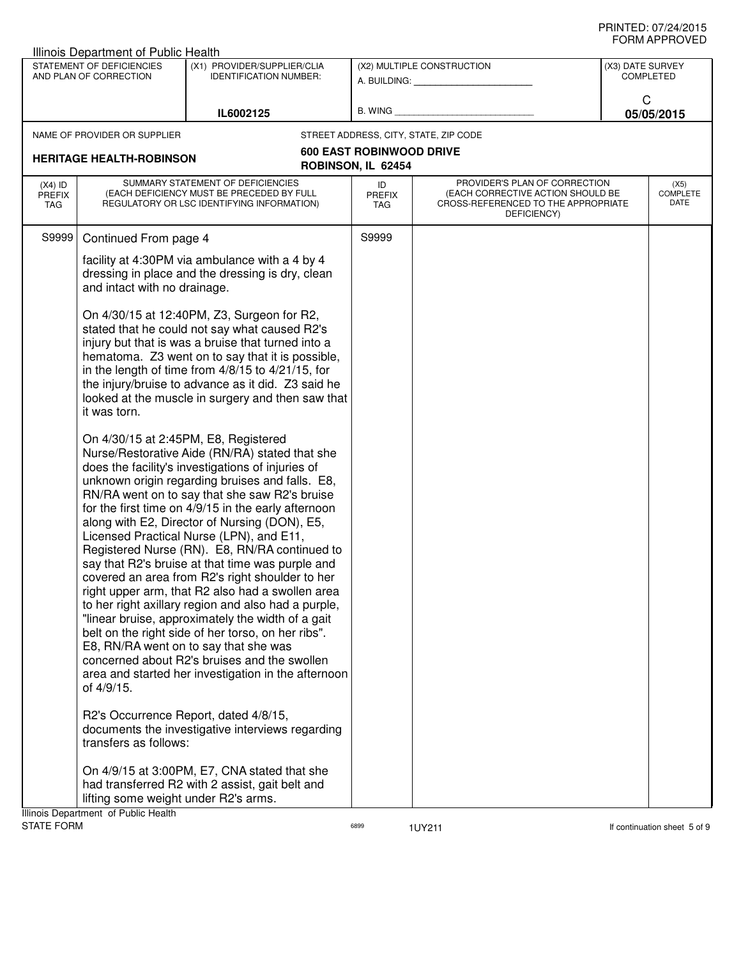|                                   | <b>Illinois Department of Public Health</b>                                  |                                                                                                                                                                                                                                                                                                                                                                                                                                                                                                                                                                                                                                                                                                                                                                                                                                                                                                                                                                                                                                        |                                                       |                                                                                                                          |                  |                                 |
|-----------------------------------|------------------------------------------------------------------------------|----------------------------------------------------------------------------------------------------------------------------------------------------------------------------------------------------------------------------------------------------------------------------------------------------------------------------------------------------------------------------------------------------------------------------------------------------------------------------------------------------------------------------------------------------------------------------------------------------------------------------------------------------------------------------------------------------------------------------------------------------------------------------------------------------------------------------------------------------------------------------------------------------------------------------------------------------------------------------------------------------------------------------------------|-------------------------------------------------------|--------------------------------------------------------------------------------------------------------------------------|------------------|---------------------------------|
|                                   | STATEMENT OF DEFICIENCIES<br>AND PLAN OF CORRECTION                          | (X1) PROVIDER/SUPPLIER/CLIA<br><b>IDENTIFICATION NUMBER:</b>                                                                                                                                                                                                                                                                                                                                                                                                                                                                                                                                                                                                                                                                                                                                                                                                                                                                                                                                                                           |                                                       | (X2) MULTIPLE CONSTRUCTION<br>A. BUILDING: A. BUILDING:                                                                  | (X3) DATE SURVEY | <b>COMPLETED</b>                |
|                                   |                                                                              | IL6002125                                                                                                                                                                                                                                                                                                                                                                                                                                                                                                                                                                                                                                                                                                                                                                                                                                                                                                                                                                                                                              | B. WING                                               |                                                                                                                          | C                | 05/05/2015                      |
|                                   | NAME OF PROVIDER OR SUPPLIER                                                 |                                                                                                                                                                                                                                                                                                                                                                                                                                                                                                                                                                                                                                                                                                                                                                                                                                                                                                                                                                                                                                        |                                                       | STREET ADDRESS, CITY, STATE, ZIP CODE                                                                                    |                  |                                 |
|                                   | <b>HERITAGE HEALTH-ROBINSON</b>                                              |                                                                                                                                                                                                                                                                                                                                                                                                                                                                                                                                                                                                                                                                                                                                                                                                                                                                                                                                                                                                                                        | <b>600 EAST ROBINWOOD DRIVE</b><br>ROBINSON, IL 62454 |                                                                                                                          |                  |                                 |
| $(X4)$ ID<br><b>PREFIX</b><br>TAG |                                                                              | SUMMARY STATEMENT OF DEFICIENCIES<br>(EACH DEFICIENCY MUST BE PRECEDED BY FULL<br>REGULATORY OR LSC IDENTIFYING INFORMATION)                                                                                                                                                                                                                                                                                                                                                                                                                                                                                                                                                                                                                                                                                                                                                                                                                                                                                                           | ID<br><b>PREFIX</b><br>TAG                            | PROVIDER'S PLAN OF CORRECTION<br>(EACH CORRECTIVE ACTION SHOULD BE<br>CROSS-REFERENCED TO THE APPROPRIATE<br>DEFICIENCY) |                  | (X5)<br><b>COMPLETE</b><br>DATE |
| S9999                             | Continued From page 4                                                        |                                                                                                                                                                                                                                                                                                                                                                                                                                                                                                                                                                                                                                                                                                                                                                                                                                                                                                                                                                                                                                        | S9999                                                 |                                                                                                                          |                  |                                 |
|                                   | and intact with no drainage.                                                 | facility at 4:30PM via ambulance with a 4 by 4<br>dressing in place and the dressing is dry, clean                                                                                                                                                                                                                                                                                                                                                                                                                                                                                                                                                                                                                                                                                                                                                                                                                                                                                                                                     |                                                       |                                                                                                                          |                  |                                 |
|                                   | it was torn.                                                                 | On 4/30/15 at 12:40PM, Z3, Surgeon for R2,<br>stated that he could not say what caused R2's<br>injury but that is was a bruise that turned into a<br>hematoma. Z3 went on to say that it is possible,<br>in the length of time from 4/8/15 to 4/21/15, for<br>the injury/bruise to advance as it did. Z3 said he<br>looked at the muscle in surgery and then saw that                                                                                                                                                                                                                                                                                                                                                                                                                                                                                                                                                                                                                                                                  |                                                       |                                                                                                                          |                  |                                 |
|                                   | On 4/30/15 at 2:45PM, E8, Registered<br>of 4/9/15.<br>transfers as follows:  | Nurse/Restorative Aide (RN/RA) stated that she<br>does the facility's investigations of injuries of<br>unknown origin regarding bruises and falls. E8,<br>RN/RA went on to say that she saw R2's bruise<br>for the first time on 4/9/15 in the early afternoon<br>along with E2, Director of Nursing (DON), E5,<br>Licensed Practical Nurse (LPN), and E11,<br>Registered Nurse (RN). E8, RN/RA continued to<br>say that R2's bruise at that time was purple and<br>covered an area from R2's right shoulder to her<br>right upper arm, that R2 also had a swollen area<br>to her right axillary region and also had a purple,<br>"linear bruise, approximately the width of a gait<br>belt on the right side of her torso, on her ribs".<br>E8, RN/RA went on to say that she was<br>concerned about R2's bruises and the swollen<br>area and started her investigation in the afternoon<br>R2's Occurrence Report, dated 4/8/15,<br>documents the investigative interviews regarding<br>On 4/9/15 at 3:00PM, E7, CNA stated that she |                                                       |                                                                                                                          |                  |                                 |
|                                   | lifting some weight under R2's arms.<br>Illinois Department of Public Health | had transferred R2 with 2 assist, gait belt and                                                                                                                                                                                                                                                                                                                                                                                                                                                                                                                                                                                                                                                                                                                                                                                                                                                                                                                                                                                        |                                                       |                                                                                                                          |                  |                                 |
|                                   |                                                                              |                                                                                                                                                                                                                                                                                                                                                                                                                                                                                                                                                                                                                                                                                                                                                                                                                                                                                                                                                                                                                                        |                                                       |                                                                                                                          |                  |                                 |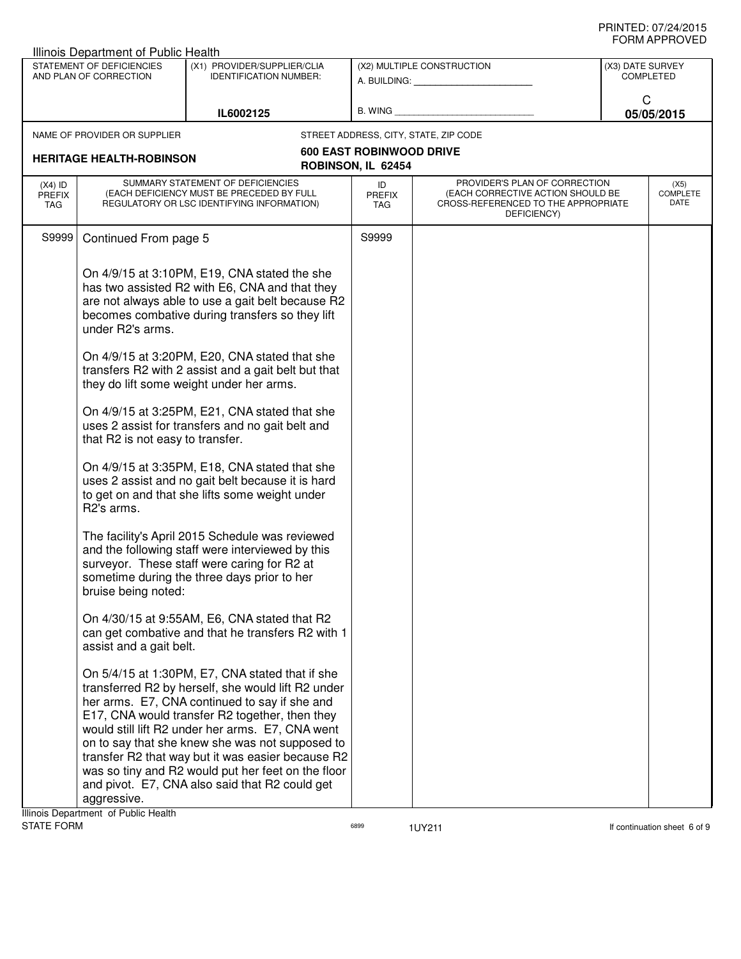|                                   | Illinois Department of Public Health                                                                                 |                                                                                                                                                                                                                                                                                                                                                                                                                                                                                                                                                                                                                                                                                                                                                                                                                                                                                                                                                                                                                                                                                                                                               |                             |                                                                                                                          |                  |                                 |
|-----------------------------------|----------------------------------------------------------------------------------------------------------------------|-----------------------------------------------------------------------------------------------------------------------------------------------------------------------------------------------------------------------------------------------------------------------------------------------------------------------------------------------------------------------------------------------------------------------------------------------------------------------------------------------------------------------------------------------------------------------------------------------------------------------------------------------------------------------------------------------------------------------------------------------------------------------------------------------------------------------------------------------------------------------------------------------------------------------------------------------------------------------------------------------------------------------------------------------------------------------------------------------------------------------------------------------|-----------------------------|--------------------------------------------------------------------------------------------------------------------------|------------------|---------------------------------|
|                                   | STATEMENT OF DEFICIENCIES<br>AND PLAN OF CORRECTION                                                                  | (X1) PROVIDER/SUPPLIER/CLIA<br><b>IDENTIFICATION NUMBER:</b>                                                                                                                                                                                                                                                                                                                                                                                                                                                                                                                                                                                                                                                                                                                                                                                                                                                                                                                                                                                                                                                                                  |                             | (X2) MULTIPLE CONSTRUCTION<br>A. BUILDING: A. BUILDING:                                                                  | (X3) DATE SURVEY | <b>COMPLETED</b>                |
|                                   |                                                                                                                      | IL6002125                                                                                                                                                                                                                                                                                                                                                                                                                                                                                                                                                                                                                                                                                                                                                                                                                                                                                                                                                                                                                                                                                                                                     | B. WING                     |                                                                                                                          | C                | 05/05/2015                      |
|                                   | NAME OF PROVIDER OR SUPPLIER                                                                                         |                                                                                                                                                                                                                                                                                                                                                                                                                                                                                                                                                                                                                                                                                                                                                                                                                                                                                                                                                                                                                                                                                                                                               |                             | STREET ADDRESS, CITY, STATE, ZIP CODE                                                                                    |                  |                                 |
| <b>HERITAGE HEALTH-ROBINSON</b>   |                                                                                                                      | <b>600 EAST ROBINWOOD DRIVE</b><br>ROBINSON, IL 62454                                                                                                                                                                                                                                                                                                                                                                                                                                                                                                                                                                                                                                                                                                                                                                                                                                                                                                                                                                                                                                                                                         |                             |                                                                                                                          |                  |                                 |
| $(X4)$ ID<br>PREFIX<br><b>TAG</b> |                                                                                                                      | SUMMARY STATEMENT OF DEFICIENCIES<br>(EACH DEFICIENCY MUST BE PRECEDED BY FULL<br>REGULATORY OR LSC IDENTIFYING INFORMATION)                                                                                                                                                                                                                                                                                                                                                                                                                                                                                                                                                                                                                                                                                                                                                                                                                                                                                                                                                                                                                  | ID<br><b>PREFIX</b><br>TAG. | PROVIDER'S PLAN OF CORRECTION<br>(EACH CORRECTIVE ACTION SHOULD BE<br>CROSS-REFERENCED TO THE APPROPRIATE<br>DEFICIENCY) |                  | (X5)<br><b>COMPLETE</b><br>DATE |
| S9999                             | Continued From page 5                                                                                                |                                                                                                                                                                                                                                                                                                                                                                                                                                                                                                                                                                                                                                                                                                                                                                                                                                                                                                                                                                                                                                                                                                                                               | S9999                       |                                                                                                                          |                  |                                 |
|                                   | under R2's arms.<br>that R2 is not easy to transfer.<br>R2's arms.<br>bruise being noted:<br>assist and a gait belt. | On 4/9/15 at 3:10PM, E19, CNA stated the she<br>has two assisted R2 with E6, CNA and that they<br>are not always able to use a gait belt because R2<br>becomes combative during transfers so they lift<br>On 4/9/15 at 3:20PM, E20, CNA stated that she<br>transfers R2 with 2 assist and a gait belt but that<br>they do lift some weight under her arms.<br>On 4/9/15 at 3:25PM, E21, CNA stated that she<br>uses 2 assist for transfers and no gait belt and<br>On 4/9/15 at 3:35PM, E18, CNA stated that she<br>uses 2 assist and no gait belt because it is hard<br>to get on and that she lifts some weight under<br>The facility's April 2015 Schedule was reviewed<br>and the following staff were interviewed by this<br>surveyor. These staff were caring for R2 at<br>sometime during the three days prior to her<br>On 4/30/15 at 9:55AM, E6, CNA stated that R2<br>can get combative and that he transfers R2 with 1<br>On 5/4/15 at 1:30PM, E7, CNA stated that if she<br>transferred R2 by herself, she would lift R2 under<br>her arms. E7, CNA continued to say if she and<br>E17, CNA would transfer R2 together, then they |                             |                                                                                                                          |                  |                                 |
|                                   | aggressive.                                                                                                          | would still lift R2 under her arms. E7, CNA went<br>on to say that she knew she was not supposed to<br>transfer R2 that way but it was easier because R2<br>was so tiny and R2 would put her feet on the floor<br>and pivot. E7, CNA also said that R2 could get                                                                                                                                                                                                                                                                                                                                                                                                                                                                                                                                                                                                                                                                                                                                                                                                                                                                              |                             |                                                                                                                          |                  |                                 |

**Illinois Department of Public Health<br>STATE FORM** 

assets the matrix of the state of the state of the state of the state of the state of the state of the state of the state of the state of the state of the state of the state of the state of the state of the state of the st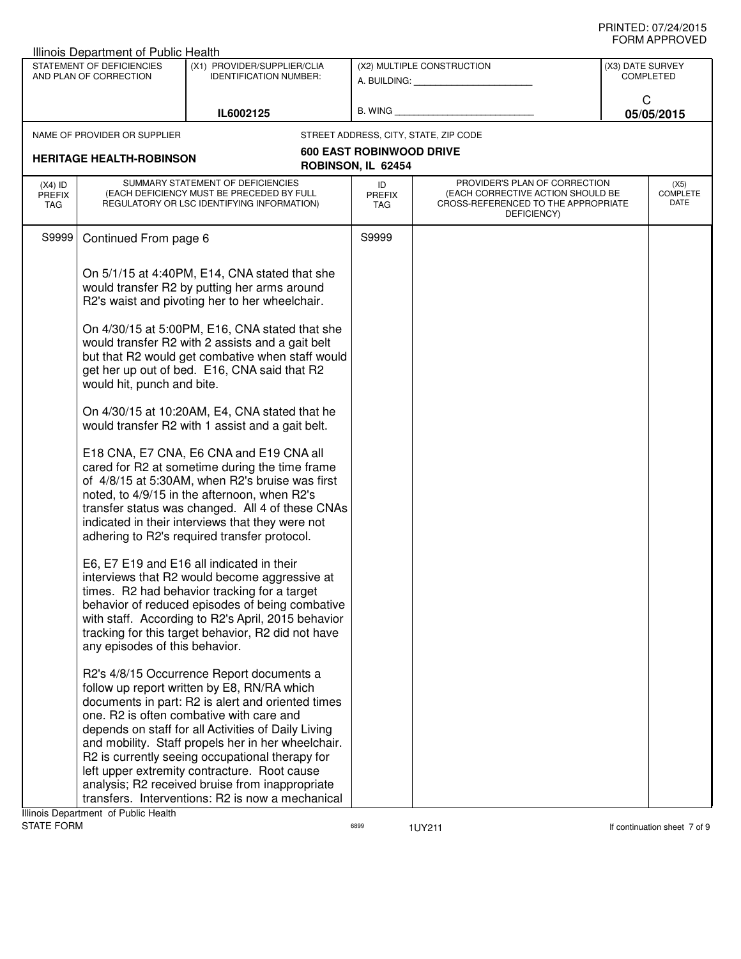|                                          | Illinois Department of Public Health                |                                                                                                                                                                                                                                                                                                                                                                                                                                                                                                                  |                            |                                                                                                                          |                                      |
|------------------------------------------|-----------------------------------------------------|------------------------------------------------------------------------------------------------------------------------------------------------------------------------------------------------------------------------------------------------------------------------------------------------------------------------------------------------------------------------------------------------------------------------------------------------------------------------------------------------------------------|----------------------------|--------------------------------------------------------------------------------------------------------------------------|--------------------------------------|
|                                          | STATEMENT OF DEFICIENCIES<br>AND PLAN OF CORRECTION | (X1) PROVIDER/SUPPLIER/CLIA<br><b>IDENTIFICATION NUMBER:</b>                                                                                                                                                                                                                                                                                                                                                                                                                                                     |                            | (X2) MULTIPLE CONSTRUCTION<br>A. BUILDING: A. BUILDING:                                                                  | (X3) DATE SURVEY<br><b>COMPLETED</b> |
|                                          |                                                     | IL6002125                                                                                                                                                                                                                                                                                                                                                                                                                                                                                                        | B. WING                    |                                                                                                                          | C<br>05/05/2015                      |
|                                          | NAME OF PROVIDER OR SUPPLIER                        |                                                                                                                                                                                                                                                                                                                                                                                                                                                                                                                  |                            | STREET ADDRESS, CITY, STATE, ZIP CODE                                                                                    |                                      |
| <b>HERITAGE HEALTH-ROBINSON</b>          |                                                     | <b>600 EAST ROBINWOOD DRIVE</b>                                                                                                                                                                                                                                                                                                                                                                                                                                                                                  |                            |                                                                                                                          |                                      |
|                                          |                                                     |                                                                                                                                                                                                                                                                                                                                                                                                                                                                                                                  | ROBINSON, IL 62454         |                                                                                                                          |                                      |
| $(X4)$ ID<br><b>PREFIX</b><br><b>TAG</b> |                                                     | SUMMARY STATEMENT OF DEFICIENCIES<br>(EACH DEFICIENCY MUST BE PRECEDED BY FULL<br>REGULATORY OR LSC IDENTIFYING INFORMATION)                                                                                                                                                                                                                                                                                                                                                                                     | ID<br><b>PREFIX</b><br>TAG | PROVIDER'S PLAN OF CORRECTION<br>(EACH CORRECTIVE ACTION SHOULD BE<br>CROSS-REFERENCED TO THE APPROPRIATE<br>DEFICIENCY) | (X5)<br><b>COMPLETE</b><br>DATE      |
| S9999                                    | Continued From page 6                               |                                                                                                                                                                                                                                                                                                                                                                                                                                                                                                                  | S9999                      |                                                                                                                          |                                      |
|                                          | would hit, punch and bite.                          | On 5/1/15 at 4:40PM, E14, CNA stated that she<br>would transfer R2 by putting her arms around<br>R2's waist and pivoting her to her wheelchair.<br>On 4/30/15 at 5:00PM, E16, CNA stated that she<br>would transfer R2 with 2 assists and a gait belt<br>but that R2 would get combative when staff would<br>get her up out of bed. E16, CNA said that R2                                                                                                                                                        |                            |                                                                                                                          |                                      |
|                                          |                                                     | On 4/30/15 at 10:20AM, E4, CNA stated that he<br>would transfer R2 with 1 assist and a gait belt.                                                                                                                                                                                                                                                                                                                                                                                                                |                            |                                                                                                                          |                                      |
|                                          |                                                     | E18 CNA, E7 CNA, E6 CNA and E19 CNA all<br>cared for R2 at sometime during the time frame<br>of 4/8/15 at 5:30AM, when R2's bruise was first<br>noted, to 4/9/15 in the afternoon, when R2's<br>transfer status was changed. All 4 of these CNAs<br>indicated in their interviews that they were not<br>adhering to R2's required transfer protocol.                                                                                                                                                             |                            |                                                                                                                          |                                      |
|                                          | any episodes of this behavior.                      | E6, E7 E19 and E16 all indicated in their<br>interviews that R2 would become aggressive at<br>times. R2 had behavior tracking for a target<br>behavior of reduced episodes of being combative<br>with staff. According to R2's April, 2015 behavior<br>tracking for this target behavior, R2 did not have                                                                                                                                                                                                        |                            |                                                                                                                          |                                      |
|                                          |                                                     | R2's 4/8/15 Occurrence Report documents a<br>follow up report written by E8, RN/RA which<br>documents in part: R2 is alert and oriented times<br>one. R2 is often combative with care and<br>depends on staff for all Activities of Daily Living<br>and mobility. Staff propels her in her wheelchair.<br>R2 is currently seeing occupational therapy for<br>left upper extremity contracture. Root cause<br>analysis; R2 received bruise from inappropriate<br>transfers. Interventions: R2 is now a mechanical |                            |                                                                                                                          |                                      |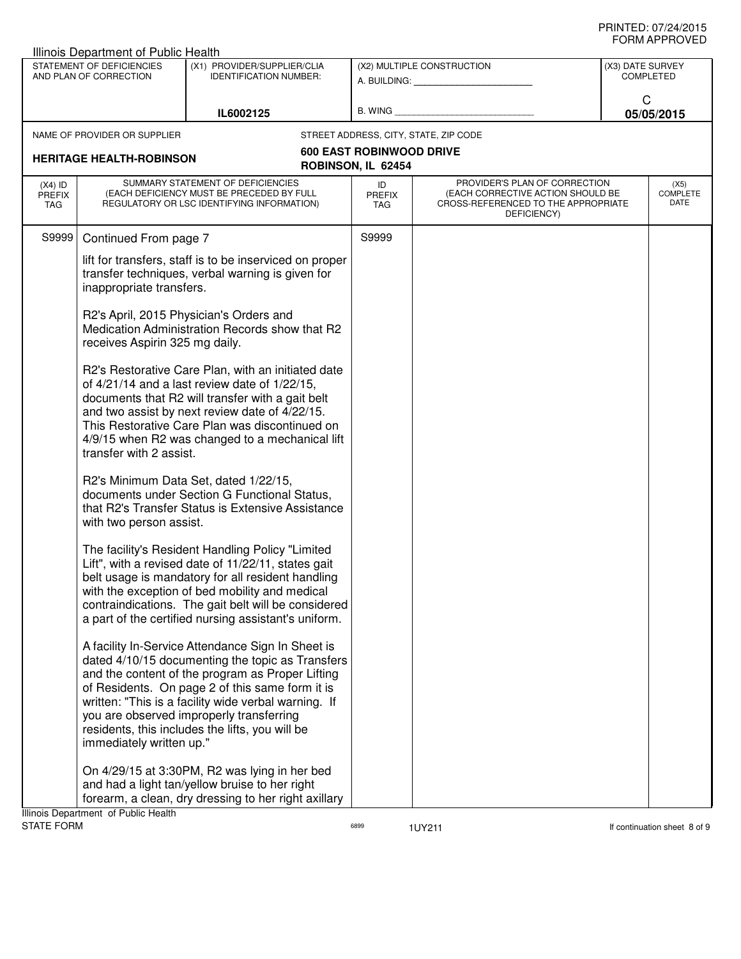|                                   | Illinois Department of Public Health                |                                                                                                                                                                                                                                                                                                                                                                     |                            |                                                                                                                          |                  |                                 |
|-----------------------------------|-----------------------------------------------------|---------------------------------------------------------------------------------------------------------------------------------------------------------------------------------------------------------------------------------------------------------------------------------------------------------------------------------------------------------------------|----------------------------|--------------------------------------------------------------------------------------------------------------------------|------------------|---------------------------------|
|                                   | STATEMENT OF DEFICIENCIES<br>AND PLAN OF CORRECTION | (X1) PROVIDER/SUPPLIER/CLIA<br><b>IDENTIFICATION NUMBER:</b>                                                                                                                                                                                                                                                                                                        |                            | (X2) MULTIPLE CONSTRUCTION                                                                                               | (X3) DATE SURVEY | <b>COMPLETED</b>                |
|                                   |                                                     | IL6002125                                                                                                                                                                                                                                                                                                                                                           | B. WING                    |                                                                                                                          | C                | 05/05/2015                      |
|                                   | NAME OF PROVIDER OR SUPPLIER                        |                                                                                                                                                                                                                                                                                                                                                                     |                            | STREET ADDRESS, CITY, STATE, ZIP CODE                                                                                    |                  |                                 |
| <b>HERITAGE HEALTH-ROBINSON</b>   |                                                     | <b>600 EAST ROBINWOOD DRIVE</b><br>ROBINSON, IL 62454                                                                                                                                                                                                                                                                                                               |                            |                                                                                                                          |                  |                                 |
| $(X4)$ ID<br><b>PREFIX</b><br>TAG |                                                     | SUMMARY STATEMENT OF DEFICIENCIES<br>(EACH DEFICIENCY MUST BE PRECEDED BY FULL<br>REGULATORY OR LSC IDENTIFYING INFORMATION)                                                                                                                                                                                                                                        | ID<br><b>PREFIX</b><br>TAG | PROVIDER'S PLAN OF CORRECTION<br>(EACH CORRECTIVE ACTION SHOULD BE<br>CROSS-REFERENCED TO THE APPROPRIATE<br>DEFICIENCY) |                  | (X5)<br><b>COMPLETE</b><br>DATE |
| S9999                             | Continued From page 7                               |                                                                                                                                                                                                                                                                                                                                                                     | S9999                      |                                                                                                                          |                  |                                 |
|                                   | inappropriate transfers.                            | lift for transfers, staff is to be inserviced on proper<br>transfer techniques, verbal warning is given for                                                                                                                                                                                                                                                         |                            |                                                                                                                          |                  |                                 |
|                                   | receives Aspirin 325 mg daily.                      | R2's April, 2015 Physician's Orders and<br>Medication Administration Records show that R2                                                                                                                                                                                                                                                                           |                            |                                                                                                                          |                  |                                 |
|                                   | transfer with 2 assist.                             | R2's Restorative Care Plan, with an initiated date<br>of 4/21/14 and a last review date of 1/22/15,<br>documents that R2 will transfer with a gait belt<br>and two assist by next review date of 4/22/15.<br>This Restorative Care Plan was discontinued on<br>4/9/15 when R2 was changed to a mechanical lift                                                      |                            |                                                                                                                          |                  |                                 |
|                                   | with two person assist.                             | R2's Minimum Data Set, dated 1/22/15,<br>documents under Section G Functional Status,<br>that R2's Transfer Status is Extensive Assistance                                                                                                                                                                                                                          |                            |                                                                                                                          |                  |                                 |
|                                   |                                                     | The facility's Resident Handling Policy "Limited<br>Lift", with a revised date of 11/22/11, states gait<br>belt usage is mandatory for all resident handling<br>with the exception of bed mobility and medical<br>contraindications. The gait belt will be considered<br>a part of the certified nursing assistant's uniform.                                       |                            |                                                                                                                          |                  |                                 |
|                                   | immediately written up."                            | A facility In-Service Attendance Sign In Sheet is<br>dated 4/10/15 documenting the topic as Transfers<br>and the content of the program as Proper Lifting<br>of Residents. On page 2 of this same form it is<br>written: "This is a facility wide verbal warning. If<br>you are observed improperly transferring<br>residents, this includes the lifts, you will be |                            |                                                                                                                          |                  |                                 |
|                                   | Illinois Department of Public Health                | On 4/29/15 at 3:30PM, R2 was lying in her bed<br>and had a light tan/yellow bruise to her right<br>forearm, a clean, dry dressing to her right axillary                                                                                                                                                                                                             |                            |                                                                                                                          |                  |                                 |